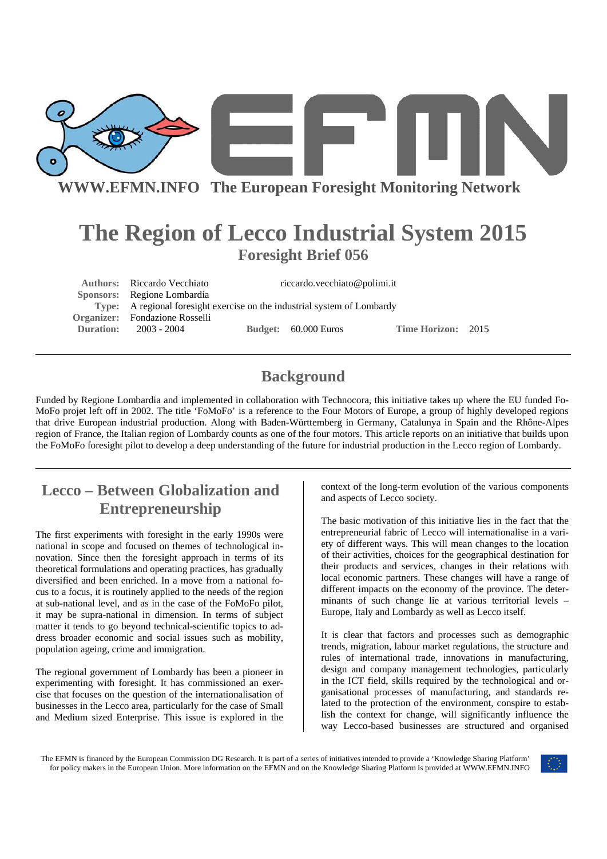

**WWW.EFMN.INFO The European Foresight Monitoring Network**

# **The Region of Lecco Industrial System 2015 Foresight Brief 056**

Authors: Riccardo Vecchiato riccardo.vecchiato@polimi.it  **Sponsors:** Regione Lombardia **Type:** A regional foresight exercise on the industrial system of Lombardy **Organizer:** Fondazione Rosselli **Duration:** 2003 - 2004 **Budget:** 60.000 Euros **Time Horizon:** 2015

### **Background**

Funded by Regione Lombardia and implemented in collaboration with Technocora, this initiative takes up where the EU funded Fo-MoFo projet left off in 2002. The title 'FoMoFo' is a reference to the Four Motors of Europe, a group of highly developed regions that drive European industrial production. Along with Baden-Württemberg in Germany, Catalunya in Spain and the Rhône-Alpes region of France, the Italian region of Lombardy counts as one of the four motors. This article reports on an initiative that builds upon the FoMoFo foresight pilot to develop a deep understanding of the future for industrial production in the Lecco region of Lombardy.

## **Lecco – Between Globalization and Entrepreneurship**

The first experiments with foresight in the early 1990s were national in scope and focused on themes of technological innovation. Since then the foresight approach in terms of its theoretical formulations and operating practices, has gradually diversified and been enriched. In a move from a national focus to a focus, it is routinely applied to the needs of the region at sub-national level, and as in the case of the FoMoFo pilot, it may be supra-national in dimension. In terms of subject matter it tends to go beyond technical-scientific topics to address broader economic and social issues such as mobility, population ageing, crime and immigration.

The regional government of Lombardy has been a pioneer in experimenting with foresight. It has commissioned an exercise that focuses on the question of the internationalisation of businesses in the Lecco area, particularly for the case of Small and Medium sized Enterprise. This issue is explored in the

context of the long-term evolution of the various components and aspects of Lecco society.

The basic motivation of this initiative lies in the fact that the entrepreneurial fabric of Lecco will internationalise in a variety of different ways. This will mean changes to the location of their activities, choices for the geographical destination for their products and services, changes in their relations with local economic partners. These changes will have a range of different impacts on the economy of the province. The determinants of such change lie at various territorial levels – Europe, Italy and Lombardy as well as Lecco itself.

It is clear that factors and processes such as demographic trends, migration, labour market regulations, the structure and rules of international trade, innovations in manufacturing, design and company management technologies, particularly in the ICT field, skills required by the technological and organisational processes of manufacturing, and standards related to the protection of the environment, conspire to establish the context for change, will significantly influence the way Lecco-based businesses are structured and organised

The EFMN is financed by the European Commission DG Research. It is part of a series of initiatives intended to provide a 'Knowledge Sharing Platform' for policy makers in the European Union. More information on the EFMN and on the Knowledge Sharing Platform is provided at WWW.EFMN.INFO

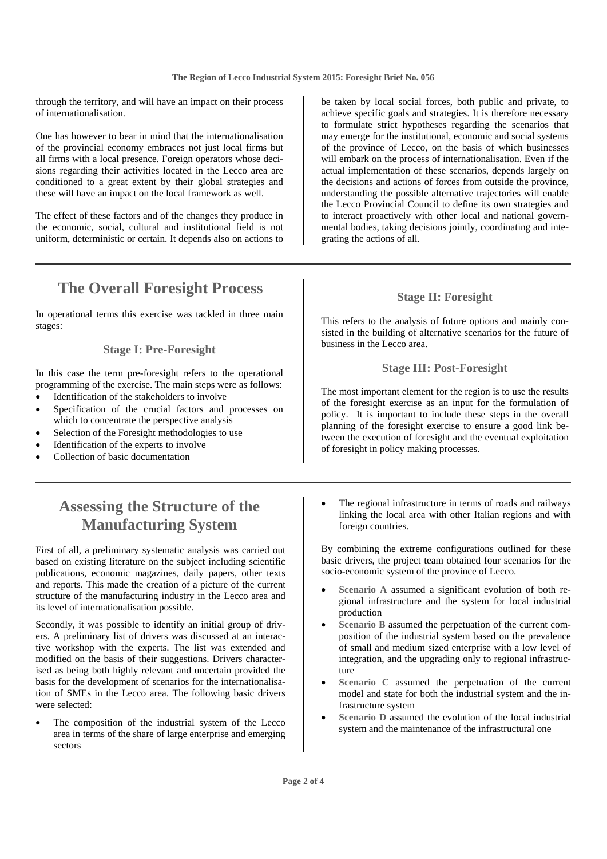through the territory, and will have an impact on their process of internationalisation.

One has however to bear in mind that the internationalisation of the provincial economy embraces not just local firms but all firms with a local presence. Foreign operators whose decisions regarding their activities located in the Lecco area are conditioned to a great extent by their global strategies and these will have an impact on the local framework as well.

The effect of these factors and of the changes they produce in the economic, social, cultural and institutional field is not uniform, deterministic or certain. It depends also on actions to

### **The Overall Foresight Process**

In operational terms this exercise was tackled in three main stages:

#### **Stage I: Pre-Foresight**

In this case the term pre-foresight refers to the operational programming of the exercise. The main steps were as follows:

- Identification of the stakeholders to involve
- Specification of the crucial factors and processes on which to concentrate the perspective analysis
- Selection of the Foresight methodologies to use
- Identification of the experts to involve
- Collection of basic documentation

### **Assessing the Structure of the Manufacturing System**

First of all, a preliminary systematic analysis was carried out based on existing literature on the subject including scientific publications, economic magazines, daily papers, other texts and reports. This made the creation of a picture of the current structure of the manufacturing industry in the Lecco area and its level of internationalisation possible.

Secondly, it was possible to identify an initial group of drivers. A preliminary list of drivers was discussed at an interactive workshop with the experts. The list was extended and modified on the basis of their suggestions. Drivers characterised as being both highly relevant and uncertain provided the basis for the development of scenarios for the internationalisation of SMEs in the Lecco area. The following basic drivers were selected:

The composition of the industrial system of the Lecco area in terms of the share of large enterprise and emerging sectors

be taken by local social forces, both public and private, to achieve specific goals and strategies. It is therefore necessary to formulate strict hypotheses regarding the scenarios that may emerge for the institutional, economic and social systems of the province of Lecco, on the basis of which businesses will embark on the process of internationalisation. Even if the actual implementation of these scenarios, depends largely on the decisions and actions of forces from outside the province, understanding the possible alternative trajectories will enable the Lecco Provincial Council to define its own strategies and to interact proactively with other local and national governmental bodies, taking decisions jointly, coordinating and integrating the actions of all.

#### **Stage II: Foresight**

This refers to the analysis of future options and mainly consisted in the building of alternative scenarios for the future of business in the Lecco area.

#### **Stage III: Post-Foresight**

The most important element for the region is to use the results of the foresight exercise as an input for the formulation of policy. It is important to include these steps in the overall planning of the foresight exercise to ensure a good link between the execution of foresight and the eventual exploitation of foresight in policy making processes.

The regional infrastructure in terms of roads and railways linking the local area with other Italian regions and with foreign countries.

By combining the extreme configurations outlined for these basic drivers, the project team obtained four scenarios for the socio-economic system of the province of Lecco.

- Scenario A assumed a significant evolution of both regional infrastructure and the system for local industrial production
- Scenario B assumed the perpetuation of the current composition of the industrial system based on the prevalence of small and medium sized enterprise with a low level of integration, and the upgrading only to regional infrastructure
- **Scenario C** assumed the perpetuation of the current model and state for both the industrial system and the infrastructure system
- Scenario D assumed the evolution of the local industrial system and the maintenance of the infrastructural one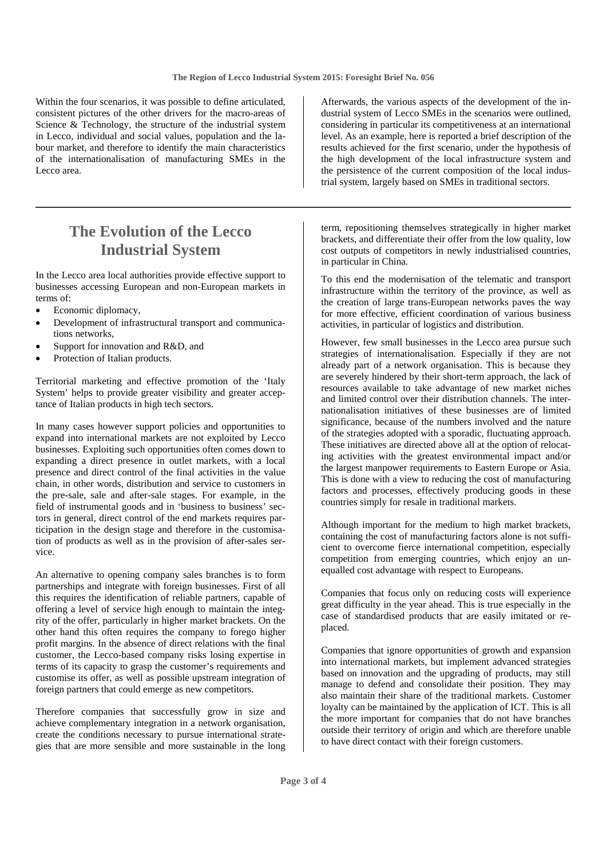Within the four scenarios, it was possible to define articulated, consistent pictures of the other drivers for the macro-areas of Science & Technology, the structure of the industrial system in Lecco, individual and social values, population and the labour market, and therefore to identify the main characteristics of the internationalisation of manufacturing SMEs in the Lecco area.

### **The Evolution of the Lecco Industrial System**

In the Lecco area local authorities provide effective support to businesses accessing European and non-European markets in terms of:

- Economic diplomacy,
- Development of infrastructural transport and communications networks,
- Support for innovation and R&D, and
- Protection of Italian products.

Territorial marketing and effective promotion of the 'Italy System' helps to provide greater visibility and greater acceptance of Italian products in high tech sectors.

In many cases however support policies and opportunities to expand into international markets are not exploited by Lecco businesses. Exploiting such opportunities often comes down to expanding a direct presence in outlet markets, with a local presence and direct control of the final activities in the value chain, in other words, distribution and service to customers in the pre-sale, sale and after-sale stages. For example, in the field of instrumental goods and in 'business to business' sectors in general, direct control of the end markets requires participation in the design stage and therefore in the customisation of products as well as in the provision of after-sales service.

An alternative to opening company sales branches is to form partnerships and integrate with foreign businesses. First of all this requires the identification of reliable partners, capable of offering a level of service high enough to maintain the integrity of the offer, particularly in higher market brackets. On the other hand this often requires the company to forego higher profit margins. In the absence of direct relations with the final customer, the Lecco-based company risks losing expertise in terms of its capacity to grasp the customer's requirements and customise its offer, as well as possible upstream integration of foreign partners that could emerge as new competitors.

Therefore companies that successfully grow in size and achieve complementary integration in a network organisation, create the conditions necessary to pursue international strategies that are more sensible and more sustainable in the long

Afterwards, the various aspects of the development of the industrial system of Lecco SMEs in the scenarios were outlined, considering in particular its competitiveness at an international level. As an example, here is reported a brief description of the results achieved for the first scenario, under the hypothesis of the high development of the local infrastructure system and the persistence of the current composition of the local industrial system, largely based on SMEs in traditional sectors.

term, repositioning themselves strategically in higher market brackets, and differentiate their offer from the low quality, low cost outputs of competitors in newly industrialised countries, in particular in China.

To this end the modernisation of the telematic and transport infrastructure within the territory of the province, as well as the creation of large trans-European networks paves the way for more effective, efficient coordination of various business activities, in particular of logistics and distribution.

However, few small businesses in the Lecco area pursue such strategies of internationalisation. Especially if they are not already part of a network organisation. This is because they are severely hindered by their short-term approach, the lack of resources available to take advantage of new market niches and limited control over their distribution channels. The internationalisation initiatives of these businesses are of limited significance, because of the numbers involved and the nature of the strategies adopted with a sporadic, fluctuating approach. These initiatives are directed above all at the option of relocating activities with the greatest environmental impact and/or the largest manpower requirements to Eastern Europe or Asia. This is done with a view to reducing the cost of manufacturing factors and processes, effectively producing goods in these countries simply for resale in traditional markets.

Although important for the medium to high market brackets, containing the cost of manufacturing factors alone is not sufficient to overcome fierce international competition, especially competition from emerging countries, which enjoy an unequalled cost advantage with respect to Europeans.

Companies that focus only on reducing costs will experience great difficulty in the year ahead. This is true especially in the case of standardised products that are easily imitated or replaced.

Companies that ignore opportunities of growth and expansion into international markets, but implement advanced strategies based on innovation and the upgrading of products, may still manage to defend and consolidate their position. They may also maintain their share of the traditional markets. Customer loyalty can be maintained by the application of ICT. This is all the more important for companies that do not have branches outside their territory of origin and which are therefore unable to have direct contact with their foreign customers.